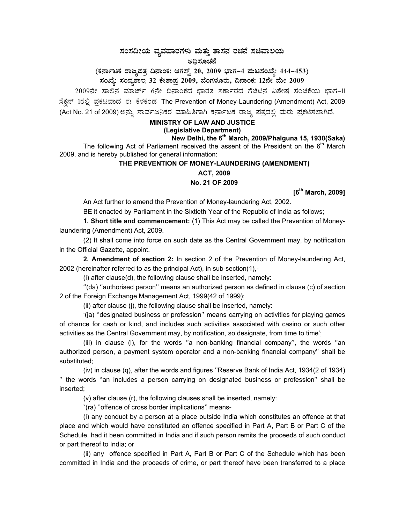# ಸಂಸದೀಯ ವ್ಯವಹಾರಗಳು ಮತ್ತು ಶಾಸನ ರಚನೆ ಸಚಿವಾಲಯ ಅಧಿಸೂಚನೆ

(ಕರ್ನಾಟಕ ರಾಜ್ಯಪತ್ರ ದಿನಾಂಕ: ಆಗಸ್ಟ್ 20, 2009 ಭಾಗ–4 **ಪುಟಸಂಖ್ಯೆ: 444–453**)

ಸಂಖ್ಯೆ: ಸಂವ್ಯಶಾಇ 32 ಕೇಶಾಪ್ರ 2009, ಬೆಂಗಳೂರು, ದಿನಾಂಕ: 12ನೇ ಮೇ 2009 <sub>-</sub>

2009ನೇ ಸಾಲಿನ ಮಾರ್ಚ್ 6ನೇ ದಿನಾಂಕದ ಭಾರತ ಸರ್ಕಾರದ ಗೆಜೆಟಿನ ವಿಶೇಷ ಸಂಚಿಕೆಯ ಭಾಗ-II ಸೆಕ್ಷನ್ 1ರಲ್ಲಿ ಪ್ರಕಟವಾದ ಈ ಕೆಳಕಂಡ The Prevention of Money-Laundering (Amendment) Act, 2009 (Act No. 21 of 2009) ಅನ್ನು ಸಾರ್ವಜನಿಕರ ಮಾಹಿತಿಗಾಗಿ ಕರ್ನಾಟಕ ರಾಜ್ಯ ಪತ್ರದಲ್ಲಿ ಮರು ಪ್ರಕಟಿಸಲಾಗಿದೆ.

# **MINISTRY OF LAW AND JUSTICE**

# **(Legislative Department)**

**New Delhi, the 6th March, 2009/Phalguna 15, 1930(Saka)**  The following Act of Parliament received the assent of the President on the  $6<sup>th</sup>$  March 2009, and is hereby published for general information:

# **THE PREVENTION OF MONEY-LAUNDERING (AMENDMENT)**

**ACT, 2009** 

## **No. 21 OF 2009**

**[6th March, 2009]** 

An Act further to amend the Prevention of Money-laundering Act, 2002.

BE it enacted by Parliament in the Sixtieth Year of the Republic of India as follows;

**1. Short title and commencement:** (1) This Act may be called the Prevention of Moneylaundering (Amendment) Act, 2009.

(2) It shall come into force on such date as the Central Government may, by notification in the Official Gazette, appoint.

**2. Amendment of section 2:** In section 2 of the Prevention of Money-laundering Act, 2002 (hereinafter referred to as the principal Act), in sub-section(1),-

(i) after clause(d), the following clause shall be inserted, namely:

''(da) ''authorised person'' means an authorized person as defined in clause (c) of section 2 of the Foreign Exchange Management Act, 1999(42 of 1999);

(ii) after clause (j), the following clause shall be inserted, namely:

'(ja) ''designated business or profession'' means carrying on activities for playing games of chance for cash or kind, and includes such activities associated with casino or such other activities as the Central Government may, by notification, so designate, from time to time';

(iii) in clause (l), for the words ''a non-banking financial company'', the words ''an authorized person, a payment system operator and a non-banking financial company'' shall be substituted;

(iv) in clause (q), after the words and figures ''Reserve Bank of India Act, 1934(2 of 1934) '' the words ''an includes a person carrying on designated business or profession'' shall be inserted;

(v) after clause (r), the following clauses shall be inserted, namely:

`(ra) ''offence of cross border implications'' means-

(i) any conduct by a person at a place outside India which constitutes an offence at that place and which would have constituted an offence specified in Part A, Part B or Part C of the Schedule, had it been committed in India and if such person remits the proceeds of such conduct or part thereof to India; or

(ii) any offence specified in Part A, Part B or Part C of the Schedule which has been committed in India and the proceeds of crime, or part thereof have been transferred to a place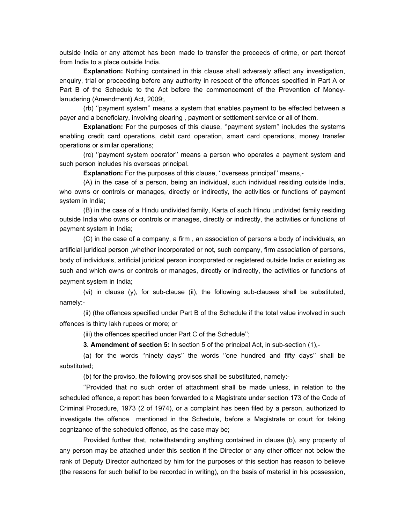outside India or any attempt has been made to transfer the proceeds of crime, or part thereof from India to a place outside India.

**Explanation:** Nothing contained in this clause shall adversely affect any investigation, enquiry, trial or proceeding before any authority in respect of the offences specified in Part A or Part B of the Schedule to the Act before the commencement of the Prevention of Moneylanudering (Amendment) Act, 2009;,

(rb) ''payment system'' means a system that enables payment to be effected between a payer and a beneficiary, involving clearing , payment or settlement service or all of them.

**Explanation:** For the purposes of this clause, "payment system" includes the systems enabling credit card operations, debit card operation, smart card operations, money transfer operations or similar operations;

(rc) ''payment system operator'' means a person who operates a payment system and such person includes his overseas principal.

**Explanation:** For the purposes of this clause, "overseas principal" means,-

(A) in the case of a person, being an individual, such individual residing outside India, who owns or controls or manages, directly or indirectly, the activities or functions of payment system in India;

(B) in the case of a Hindu undivided family, Karta of such Hindu undivided family residing outside India who owns or controls or manages, directly or indirectly, the activities or functions of payment system in India;

(C) in the case of a company, a firm , an association of persons a body of individuals, an artificial juridical person ,whether incorporated or not, such company, firm association of persons, body of individuals, artificial juridical person incorporated or registered outside India or existing as such and which owns or controls or manages, directly or indirectly, the activities or functions of payment system in India;

(vi) in clause (y), for sub-clause (ii), the following sub-clauses shall be substituted, namely:-

(ii) (the offences specified under Part B of the Schedule if the total value involved in such offences is thirty lakh rupees or more; or

(iii) the offences specified under Part C of the Schedule'';

**3. Amendment of section 5:** In section 5 of the principal Act, in sub-section (1),-

(a) for the words ''ninety days'' the words ''one hundred and fifty days'' shall be substituted;

(b) for the proviso, the following provisos shall be substituted, namely:-

''Provided that no such order of attachment shall be made unless, in relation to the scheduled offence, a report has been forwarded to a Magistrate under section 173 of the Code of Criminal Procedure, 1973 (2 of 1974), or a complaint has been filed by a person, authorized to investigate the offence mentioned in the Schedule, before a Magistrate or court for taking cognizance of the scheduled offence, as the case may be;

Provided further that, notwithstanding anything contained in clause (b), any property of any person may be attached under this section if the Director or any other officer not below the rank of Deputy Director authorized by him for the purposes of this section has reason to believe (the reasons for such belief to be recorded in writing), on the basis of material in his possession,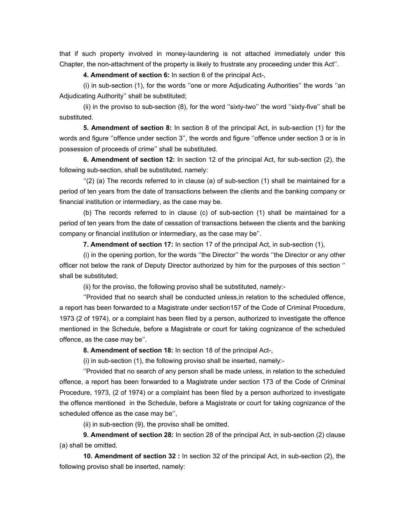that if such property involved in money-laundering is not attached immediately under this Chapter, the non-attachment of the property is likely to frustrate any proceeding under this Act''.

**4. Amendment of section 6:** In section 6 of the principal Act-,

(i) in sub-section (1), for the words ''one or more Adjudicating Authorities'' the words ''an Adjudicating Authority'' shall be substituted;

(ii) in the proviso to sub-section (8), for the word ''sixty-two'' the word ''sixty-five'' shall be substituted.

**5. Amendment of section 8:** In section 8 of the principal Act, in sub-section (1) for the words and figure ''offence under section 3'', the words and figure ''offence under section 3 or is in possession of proceeds of crime'' shall be substituted.

**6. Amendment of section 12:** In section 12 of the principal Act, for sub-section (2), the following sub-section, shall be substituted, namely:

 $''(2)$  (a) The records referred to in clause (a) of sub-section (1) shall be maintained for a period of ten years from the date of transactions between the clients and the banking company or financial institution or intermediary, as the case may be.

(b) The records referred to in clause (c) of sub-section (1) shall be maintained for a period of ten years from the date of cessation of transactions between the clients and the banking company or financial institution or intermediary, as the case may be''.

**7. Amendment of section 17:** In section 17 of the principal Act, in sub-section (1),

(i) in the opening portion, for the words ''the Director'' the words ''the Director or any other officer not below the rank of Deputy Director authorized by him for the purposes of this section '' shall be substituted;

(ii) for the proviso, the following proviso shall be substituted, namely:-

''Provided that no search shall be conducted unless,in relation to the scheduled offence, a report has been forwarded to a Magistrate under section157 of the Code of Criminal Procedure, 1973 (2 of 1974), or a complaint has been filed by a person, authorized to investigate the offence mentioned in the Schedule, before a Magistrate or court for taking cognizance of the scheduled offence, as the case may be''.

**8. Amendment of section 18:** In section 18 of the principal Act-,

(i) in sub-section (1), the following proviso shall be inserted, namely:-

''Provided that no search of any person shall be made unless, in relation to the scheduled offence, a report has been forwarded to a Magistrate under section 173 of the Code of Criminal Procedure, 1973, (2 of 1974) or a complaint has been filed by a person authorized to investigate the offence mentioned in the Schedule, before a Magistrate or court for taking cognizance of the scheduled offence as the case may be'',

(ii) in sub-section (9), the proviso shall be omitted.

**9. Amendment of section 28:** In section 28 of the principal Act, in sub-section (2) clause (a) shall be omitted.

**10. Amendment of section 32 :** In section 32 of the principal Act, in sub-section (2), the following proviso shall be inserted, namely: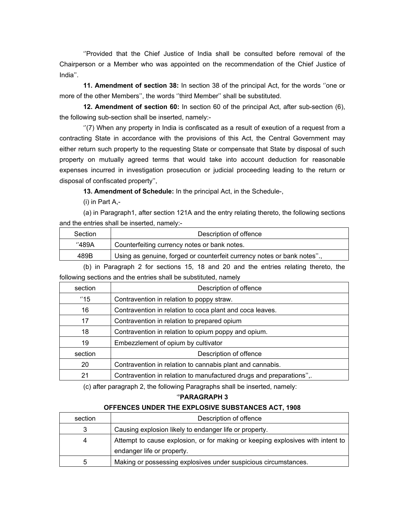''Provided that the Chief Justice of India shall be consulted before removal of the Chairperson or a Member who was appointed on the recommendation of the Chief Justice of India''.

**11. Amendment of section 38:** In section 38 of the principal Act, for the words ''one or more of the other Members'', the words ''third Member'' shall be substituted.

**12. Amendment of section 60:** In section 60 of the principal Act, after sub-section (6), the following sub-section shall be inserted, namely:-

''(7) When any property in India is confiscated as a result of exeution of a request from a contracting State in accordance with the provisions of this Act, the Central Government may either return such property to the requesting State or compensate that State by disposal of such property on mutually agreed terms that would take into account deduction for reasonable expenses incurred in investigation prosecution or judicial proceeding leading to the return or disposal of confiscated property'',

**13. Amendment of Schedule:** In the principal Act, in the Schedule-,

(i) in Part A,-

(a) in Paragraph1, after section 121A and the entry relating thereto, the following sections and the entries shall be inserted, namely:-

| Section | Description of offence                                                  |
|---------|-------------------------------------------------------------------------|
| ''489A  | Counterfeiting currency notes or bank notes.                            |
| 489B    | Using as genuine, forged or counterfeit currency notes or bank notes"., |

(b) in Paragraph 2 for sections 15, 18 and 20 and the entries relating thereto, the following sections and the entries shall be substituted, namely

| section | Description of offence                                              |
|---------|---------------------------------------------------------------------|
| "15"    | Contravention in relation to poppy straw.                           |
| 16      | Contravention in relation to coca plant and coca leaves.            |
| 17      | Contravention in relation to prepared opium                         |
| 18      | Contravention in relation to opium poppy and opium.                 |
| 19      | Embezzlement of opium by cultivator                                 |
| section | Description of offence                                              |
| 20      | Contravention in relation to cannabis plant and cannabis.           |
| 21      | Contravention in relation to manufactured drugs and preparations",. |

(c) after paragraph 2, the following Paragraphs shall be inserted, namely:

#### '**'PARAGRAPH 3**

# **OFFENCES UNDER THE EXPLOSIVE SUBSTANCES ACT, 1908**

| section | Description of offence                                                         |
|---------|--------------------------------------------------------------------------------|
| 3       | Causing explosion likely to endanger life or property.                         |
| 4       | Attempt to cause explosion, or for making or keeping explosives with intent to |
|         | endanger life or property.                                                     |
| 5       | Making or possessing explosives under suspicious circumstances.                |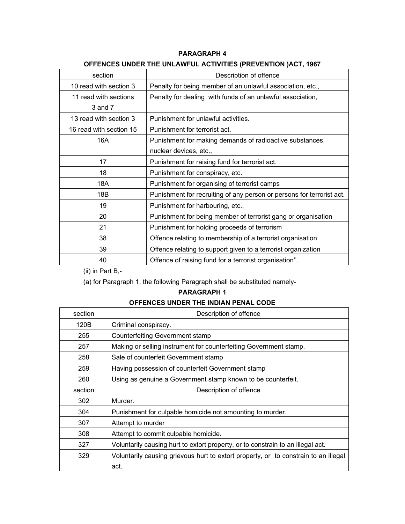# **PARAGRAPH 4**

# **OFFENCES UNDER THE UNLAWFUL ACTIVITIES (PREVENTION )ACT, 1967**

| section                 | Description of offence                                                |
|-------------------------|-----------------------------------------------------------------------|
| 10 read with section 3  | Penalty for being member of an unlawful association, etc.,            |
| 11 read with sections   | Penalty for dealing with funds of an unlawful association,            |
| 3 and 7                 |                                                                       |
| 13 read with section 3  | Punishment for unlawful activities.                                   |
| 16 read with section 15 | Punishment for terrorist act.                                         |
| 16A                     | Punishment for making demands of radioactive substances,              |
|                         | nuclear devices, etc.,                                                |
| 17                      | Punishment for raising fund for terrorist act.                        |
| 18                      | Punishment for conspiracy, etc.                                       |
| 18A                     | Punishment for organising of terrorist camps                          |
| 18B                     | Punishment for recruiting of any person or persons for terrorist act. |
| 19                      | Punishment for harbouring, etc.,                                      |
| 20                      | Punishment for being member of terrorist gang or organisation         |
| 21                      | Punishment for holding proceeds of terrorism                          |
| 38                      | Offence relating to membership of a terrorist organisation.           |
| 39                      | Offence relating to support given to a terrorist organization         |
| 40                      | Offence of raising fund for a terrorist organisation".                |

(ii) in Part B,-

(a) for Paragraph 1, the following Paragraph shall be substituted namely-

# **PARAGRAPH 1**

# **OFFENCES UNDER THE INDIAN PENAL CODE**

| section | Description of offence                                                              |
|---------|-------------------------------------------------------------------------------------|
| 120B    | Criminal conspiracy.                                                                |
| 255     | <b>Counterfeiting Government stamp</b>                                              |
| 257     | Making or selling instrument for counterfeiting Government stamp.                   |
| 258     | Sale of counterfeit Government stamp                                                |
| 259     | Having possession of counterfeit Government stamp                                   |
| 260     | Using as genuine a Government stamp known to be counterfeit.                        |
| section | Description of offence                                                              |
| 302     | Murder.                                                                             |
| 304     | Punishment for culpable homicide not amounting to murder.                           |
| 307     | Attempt to murder                                                                   |
| 308     | Attempt to commit culpable homicide.                                                |
| 327     | Voluntarily causing hurt to extort property, or to constrain to an illegal act.     |
| 329     | Voluntarily causing grievous hurt to extort property, or to constrain to an illegal |
|         | act.                                                                                |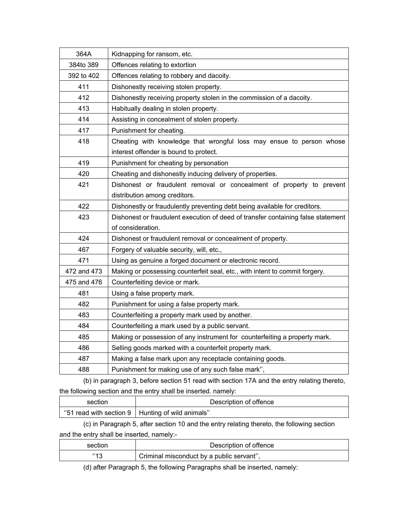| 364A        | Kidnapping for ransom, etc.                                                      |
|-------------|----------------------------------------------------------------------------------|
| 384to 389   | Offences relating to extortion                                                   |
| 392 to 402  | Offences relating to robbery and dacoity.                                        |
| 411         | Dishonestly receiving stolen property.                                           |
| 412         | Dishonestly receiving property stolen in the commission of a dacoity.            |
| 413         | Habitually dealing in stolen property.                                           |
| 414         | Assisting in concealment of stolen property.                                     |
| 417         | Punishment for cheating.                                                         |
| 418         | Cheating with knowledge that wrongful loss may ensue to person whose             |
|             | interest offender is bound to protect.                                           |
| 419         | Punishment for cheating by personation                                           |
| 420         | Cheating and dishonestly inducing delivery of properties.                        |
| 421         | Dishonest or fraudulent removal or concealment of property to prevent            |
|             | distribution among creditors.                                                    |
| 422         | Dishonestly or fraudulently preventing debt being available for creditors.       |
| 423         | Dishonest or fraudulent execution of deed of transfer containing false statement |
|             | of consideration.                                                                |
| 424         | Dishonest or fraudulent removal or concealment of property.                      |
| 467         | Forgery of valuable security, will, etc.,                                        |
| 471         | Using as genuine a forged document or electronic record.                         |
| 472 and 473 | Making or possessing counterfeit seal, etc., with intent to commit forgery.      |
| 475 and 476 | Counterfeiting device or mark.                                                   |
| 481         | Using a false property mark.                                                     |
| 482         | Punishment for using a false property mark.                                      |
| 483         | Counterfeiting a property mark used by another.                                  |
| 484         | Counterfeiting a mark used by a public servant.                                  |
| 485         | Making or possession of any instrument for counterfeiting a property mark.       |
| 486         | Selling goods marked with a counterfeit property mark.                           |
| 487         | Making a false mark upon any receptacle containing goods.                        |
| 488         | Punishment for making use of any such false mark",                               |

 (b) in paragraph 3, before section 51 read with section 17A and the entry relating thereto, the following section and the entry shall be inserted. namely:

| section | Description of offence                                  |
|---------|---------------------------------------------------------|
|         | "51 read with section $9 \mid$ Hunting of wild animals" |

(c) in Paragraph 5, after section 10 and the entry relating thereto, the following section and the entry shall be inserted, namely:-

| section | Description of offence                    |
|---------|-------------------------------------------|
| 010     | Criminal misconduct by a public servant", |

(d) after Paragraph 5, the following Paragraphs shall be inserted, namely: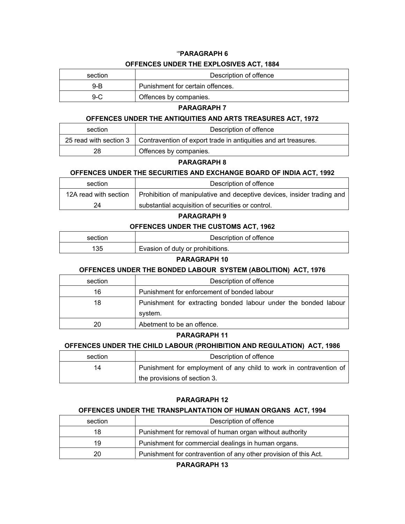# '**'PARAGRAPH 6 OFFENCES UNDER THE EXPLOSIVES ACT, 1884**

| section | Description of offence           |
|---------|----------------------------------|
| 9-B     | Punishment for certain offences. |
| 9-C     | Offences by companies.           |

#### **PARAGRAPH 7**

#### **OFFENCES UNDER THE ANTIQUITIES AND ARTS TREASURES ACT, 1972**

| section | Description of offence                                                                   |
|---------|------------------------------------------------------------------------------------------|
|         | 25 read with section 3   Contravention of export trade in antiquities and art treasures. |
| 28      | Offences by companies.                                                                   |

#### **PARAGRAPH 8**

#### **OFFENCES UNDER THE SECURITIES AND EXCHANGE BOARD OF INDIA ACT, 1992**

| section               | Description of offence                                                 |
|-----------------------|------------------------------------------------------------------------|
| 12A read with section | Prohibition of manipulative and deceptive devices, insider trading and |
| 24                    | substantial acquisition of securities or control.                      |

# **PARAGRAPH 9**

#### **OFFENCES UNDER THE CUSTOMS ACT, 1962**

| section | Description of offence           |
|---------|----------------------------------|
| 135     | Evasion of duty or prohibitions. |

#### **PARAGRAPH 10**

# **OFFENCES UNDER THE BONDED LABOUR SYSTEM (ABOLITION) ACT, 1976**

| section | Description of offence                                          |
|---------|-----------------------------------------------------------------|
| 16      | Punishment for enforcement of bonded labour                     |
| 18      | Punishment for extracting bonded labour under the bonded labour |
|         | system.                                                         |
| 20      | Abetment to be an offence.                                      |

#### **PARAGRAPH 11**

#### **OFFENCES UNDER THE CHILD LABOUR (PROHIBITION AND REGULATION) ACT, 1986**

| section | Description of offence                                             |
|---------|--------------------------------------------------------------------|
| 14      | Punishment for employment of any child to work in contravention of |
|         | the provisions of section 3.                                       |

#### **PARAGRAPH 12**

#### **OFFENCES UNDER THE TRANSPLANTATION OF HUMAN ORGANS ACT, 1994**

| section | Description of offence                                           |
|---------|------------------------------------------------------------------|
| 18      | Punishment for removal of human organ without authority          |
| 19      | Punishment for commercial dealings in human organs.              |
| 20      | Punishment for contravention of any other provision of this Act. |

**PARAGRAPH 13**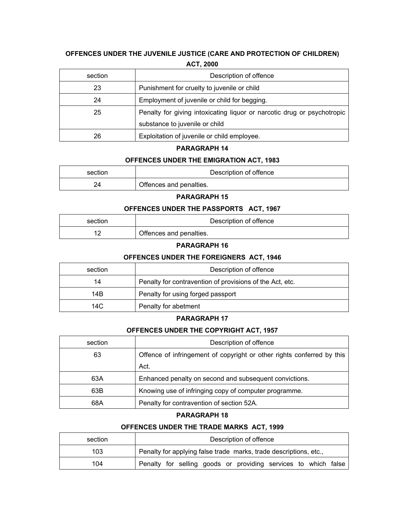# **OFFENCES UNDER THE JUVENILE JUSTICE (CARE AND PROTECTION OF CHILDREN) ACT, 2000**

| section | Description of offence                                                  |
|---------|-------------------------------------------------------------------------|
| 23      | Punishment for cruelty to juvenile or child                             |
| 24      | Employment of juvenile or child for begging.                            |
| 25      | Penalty for giving intoxicating liquor or narcotic drug or psychotropic |
|         | substance to juvenile or child                                          |
| 26      | Exploitation of juvenile or child employee.                             |

#### **PARAGRAPH 14**

#### **OFFENCES UNDER THE EMIGRATION ACT, 1983**

| section | Description of offence  |
|---------|-------------------------|
|         | Offences and penalties. |

#### **PARAGRAPH 15**

### **OFFENCES UNDER THE PASSPORTS ACT, 1967**

| section | Description of offence  |
|---------|-------------------------|
|         | Offences and penalties. |

# **PARAGRAPH 16**

#### **OFFENCES UNDER THE FOREIGNERS ACT, 1946**

| section | Description of offence                                   |
|---------|----------------------------------------------------------|
| 14      | Penalty for contravention of provisions of the Act, etc. |
| 14B     | Penalty for using forged passport                        |
| 14C     | Penalty for abetment                                     |

#### **PARAGRAPH 17**

#### **OFFENCES UNDER THE COPYRIGHT ACT, 1957**

| section | Description of offence                                                 |
|---------|------------------------------------------------------------------------|
| 63      | Offence of infringement of copyright or other rights conferred by this |
|         | Act.                                                                   |
| 63A     | Enhanced penalty on second and subsequent convictions.                 |
| 63B     | Knowing use of infringing copy of computer programme.                  |
| 68A     | Penalty for contravention of section 52A.                              |

#### **PARAGRAPH 18**

#### **OFFENCES UNDER THE TRADE MARKS ACT, 1999**

| section | Description of offence                                            |
|---------|-------------------------------------------------------------------|
| 103     | Penalty for applying false trade marks, trade descriptions, etc., |
| 104     | Penalty for selling goods or providing services to which false    |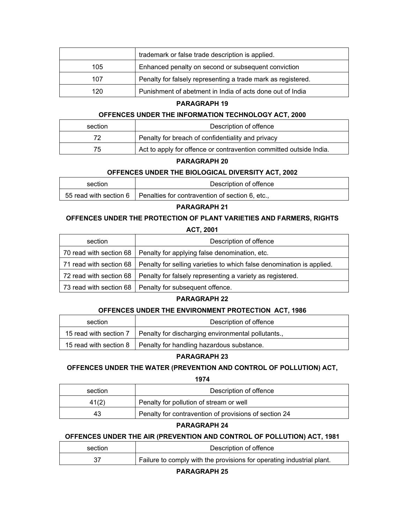|     | trademark or false trade description is applied.             |
|-----|--------------------------------------------------------------|
| 105 | Enhanced penalty on second or subsequent conviction          |
| 107 | Penalty for falsely representing a trade mark as registered. |
| 120 | Punishment of abetment in India of acts done out of India    |

### **PARAGRAPH 19**

#### **OFFENCES UNDER THE INFORMATION TECHNOLOGY ACT, 2000**

| section | Description of offence                                             |
|---------|--------------------------------------------------------------------|
|         | Penalty for breach of confidentiality and privacy                  |
| 75      | Act to apply for offence or contravention committed outside India. |

## **PARAGRAPH 20**

#### **OFFENCES UNDER THE BIOLOGICAL DIVERSITY ACT, 2002**

| section | Description of offence                                                   |
|---------|--------------------------------------------------------------------------|
|         | 55 read with section 6   Penalties for contravention of section 6, etc., |

#### **PARAGRAPH 21**

# **OFFENCES UNDER THE PROTECTION OF PLANT VARIETIES AND FARMERS, RIGHTS**

**ACT, 2001** 

| section | Description of offence                                                                          |
|---------|-------------------------------------------------------------------------------------------------|
|         | 70 read with section 68   Penalty for applying false denomination, etc.                         |
|         | 71 read with section 68   Penalty for selling varieties to which false denomination is applied. |
|         | 72 read with section 68   Penalty for falsely representing a variety as registered.             |
|         | 73 read with section 68   Penalty for subsequent offence.                                       |

#### **PARAGRAPH 22**

#### **OFFENCES UNDER THE ENVIRONMENT PROTECTION ACT, 1986**

| section                | Description of offence                                             |
|------------------------|--------------------------------------------------------------------|
| 15 read with section 7 | Penalty for discharging environmental pollutants.,                 |
|                        | 15 read with section 8   Penalty for handling hazardous substance. |

# **PARAGRAPH 23**

# **OFFENCES UNDER THE WATER (PREVENTION AND CONTROL OF POLLUTION) ACT,**

**1974** 

| section | Description of offence                                |
|---------|-------------------------------------------------------|
| 41(2)   | Penalty for pollution of stream or well               |
| 43      | Penalty for contravention of provisions of section 24 |

# **PARAGRAPH 24**

# **OFFENCES UNDER THE AIR (PREVENTION AND CONTROL OF POLLUTION) ACT, 1981**

| section | Description of offence                                                |
|---------|-----------------------------------------------------------------------|
|         | Failure to comply with the provisions for operating industrial plant. |

**PARAGRAPH 25**